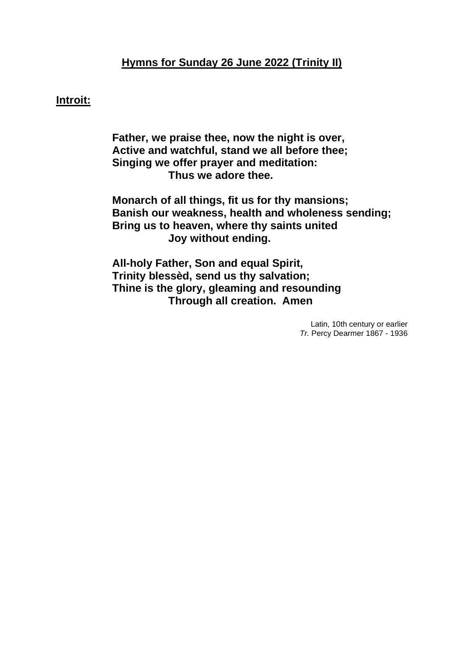# **Hymns for Sunday 26 June 2022 (Trinity II)**

## **Introit:**

**Father, we praise thee, now the night is over, Active and watchful, stand we all before thee; Singing we offer prayer and meditation: Thus we adore thee.**

**Monarch of all things, fit us for thy mansions; Banish our weakness, health and wholeness sending; Bring us to heaven, where thy saints united Joy without ending.**

**All-holy Father, Son and equal Spirit, Trinity blessèd, send us thy salvation; Thine is the glory, gleaming and resounding Through all creation. Amen**

> Latin, 10th century or earlier *Tr.* Percy Dearmer 1867 - 1936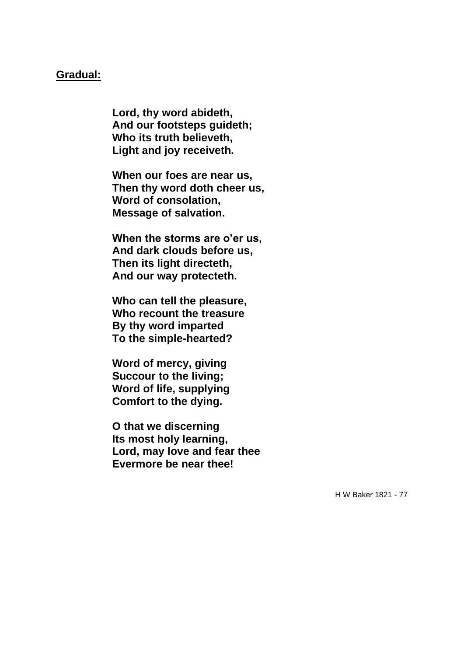### **Gradual:**

**Lord, thy word abideth, And our footsteps guideth; Who its truth believeth, Light and joy receiveth.**

**When our foes are near us, Then thy word doth cheer us, Word of consolation, Message of salvation.**

**When the storms are o'er us, And dark clouds before us, Then its light directeth, And our way protecteth.**

**Who can tell the pleasure, Who recount the treasure By thy word imparted To the simple-hearted?**

**Word of mercy, giving Succour to the living; Word of life, supplying Comfort to the dying.**

**O that we discerning Its most holy learning, Lord, may love and fear thee Evermore be near thee!**

H W Baker 1821 - 77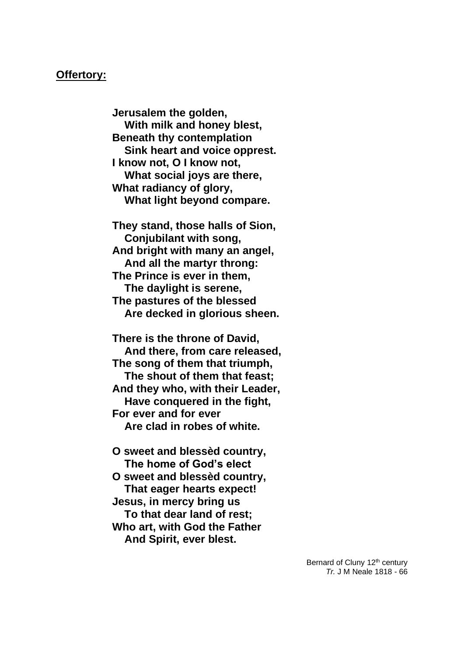#### **Offertory:**

**Jerusalem the golden, With milk and honey blest, Beneath thy contemplation Sink heart and voice opprest. I know not, O I know not, What social joys are there, What radiancy of glory, What light beyond compare.**

**They stand, those halls of Sion, Conjubilant with song, And bright with many an angel, And all the martyr throng: The Prince is ever in them, The daylight is serene, The pastures of the blessed Are decked in glorious sheen.**

**There is the throne of David, And there, from care released, The song of them that triumph, The shout of them that feast; And they who, with their Leader, Have conquered in the fight, For ever and for ever Are clad in robes of white.**

- **O sweet and blessèd country, The home of God's elect**
- **O sweet and blessèd country, That eager hearts expect! Jesus, in mercy bring us**

 **To that dear land of rest; Who art, with God the Father And Spirit, ever blest.**